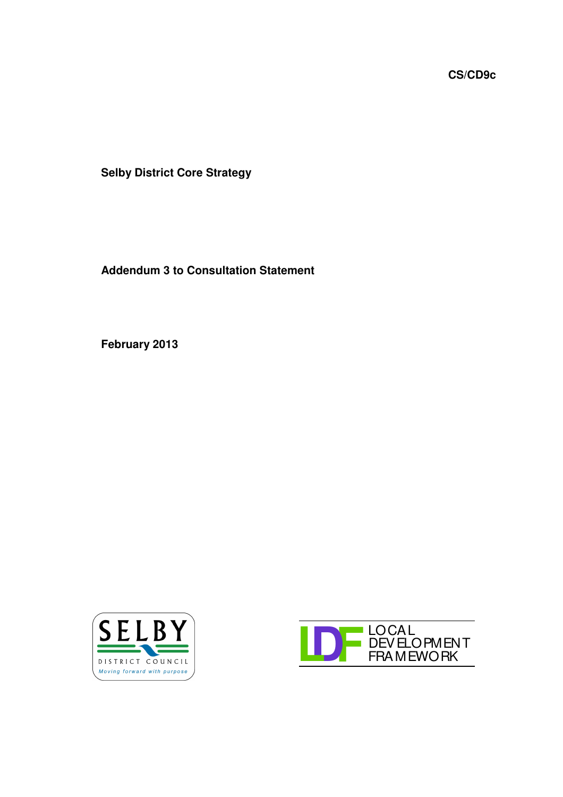**CS/CD9c**

**Selby District Core Strategy**

**Addendum 3 to Consultation Statement**

**February 2013**



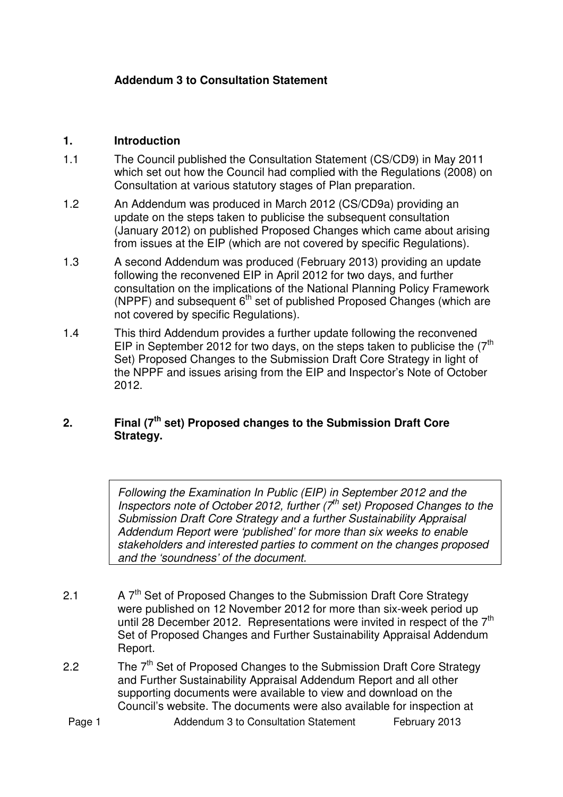## **Addendum 3 to Consultation Statement**

## **1. Introduction**

- 1.1 The Council published the Consultation Statement (CS/CD9) in May 2011 which set out how the Council had complied with the Regulations (2008) on Consultation at various statutory stages of Plan preparation.
- 1.2 An Addendum was produced in March 2012 (CS/CD9a) providing an update on the steps taken to publicise the subsequent consultation (January 2012) on published Proposed Changes which came about arising from issues at the EIP (which are not covered by specific Regulations).
- 1.3 A second Addendum was produced (February 2013) providing an update following the reconvened EIP in April 2012 for two days, and further consultation on the implications of the National Planning Policy Framework (NPPF) and subsequent  $6<sup>th</sup>$  set of published Proposed Changes (which are not covered by specific Regulations).
- 1.4 This third Addendum provides a further update following the reconvened EIP in September 2012 for two days, on the steps taken to publicise the  $7<sup>th</sup>$ Set) Proposed Changes to the Submission Draft Core Strategy in light of the NPPF and issues arising from the EIP and Inspector's Note of October 2012.

## **2. Final (7 th set) Proposed changes to the Submission Draft Core Strategy.**

*Following the Examination In Public (EIP) in September 2012 and the Inspectors note of October 2012, further (7 th set) Proposed Changes to the Submission Draft Core Strategy and a further Sustainability Appraisal Addendum Report were 'published' for more than six weeks to enable stakeholders and interested parties to comment on the changes proposed and the 'soundness' of the document.*

- 2.1 A 7<sup>th</sup> Set of Proposed Changes to the Submission Draft Core Strategy were published on 12 November 2012 for more than six-week period up until 28 December 2012. Representations were invited in respect of the  $7<sup>th</sup>$ Set of Proposed Changes and Further Sustainability Appraisal Addendum Report.
- 2.2 The 7<sup>th</sup> Set of Proposed Changes to the Submission Draft Core Strategy and Further Sustainability Appraisal Addendum Report and all other supporting documents were available to view and download on the Council's website. The documents were also available for inspection at
- Page 1 **Addendum 3 to Consultation Statement** February 2013